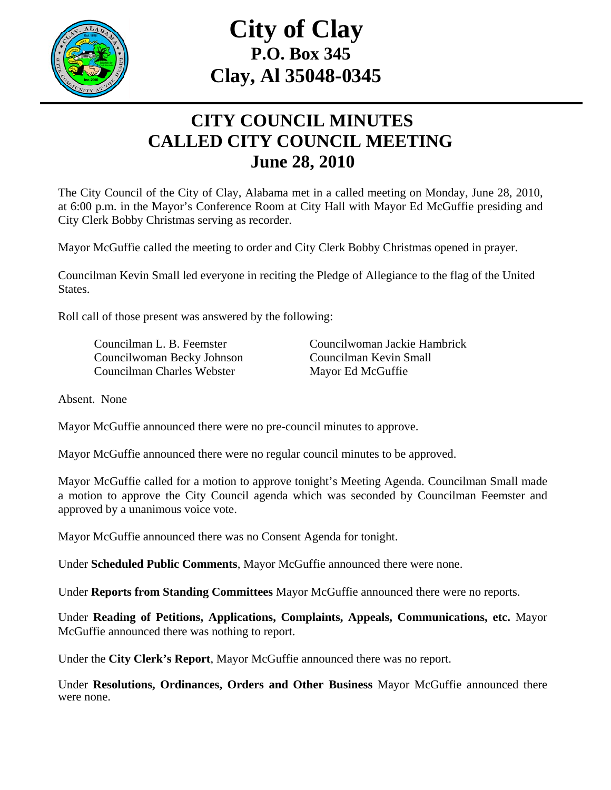

## **City of Clay P.O. Box 345 Clay, Al 35048-0345**

## **CITY COUNCIL MINUTES CALLED CITY COUNCIL MEETING June 28, 2010**

The City Council of the City of Clay, Alabama met in a called meeting on Monday, June 28, 2010, at 6:00 p.m. in the Mayor's Conference Room at City Hall with Mayor Ed McGuffie presiding and City Clerk Bobby Christmas serving as recorder.

Mayor McGuffie called the meeting to order and City Clerk Bobby Christmas opened in prayer.

Councilman Kevin Small led everyone in reciting the Pledge of Allegiance to the flag of the United States.

Roll call of those present was answered by the following:

 Councilwoman Becky Johnson Councilman Kevin Small Councilman Charles Webster Mayor Ed McGuffie

Councilman L. B. Feemster Councilwoman Jackie Hambrick

Absent. None

Mayor McGuffie announced there were no pre-council minutes to approve.

Mayor McGuffie announced there were no regular council minutes to be approved.

Mayor McGuffie called for a motion to approve tonight's Meeting Agenda. Councilman Small made a motion to approve the City Council agenda which was seconded by Councilman Feemster and approved by a unanimous voice vote.

Mayor McGuffie announced there was no Consent Agenda for tonight.

Under **Scheduled Public Comments**, Mayor McGuffie announced there were none.

Under **Reports from Standing Committees** Mayor McGuffie announced there were no reports.

Under **Reading of Petitions, Applications, Complaints, Appeals, Communications, etc.** Mayor McGuffie announced there was nothing to report.

Under the **City Clerk's Report**, Mayor McGuffie announced there was no report.

Under **Resolutions, Ordinances, Orders and Other Business** Mayor McGuffie announced there were none.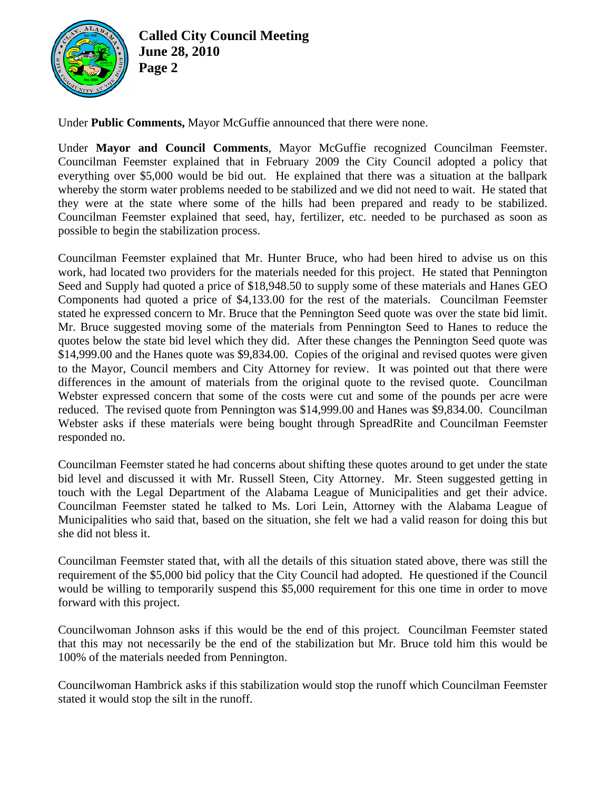

**Called City Council Meeting June 28, 2010 Page 2** 

Under **Public Comments,** Mayor McGuffie announced that there were none.

Under **Mayor and Council Comments**, Mayor McGuffie recognized Councilman Feemster. Councilman Feemster explained that in February 2009 the City Council adopted a policy that everything over \$5,000 would be bid out. He explained that there was a situation at the ballpark whereby the storm water problems needed to be stabilized and we did not need to wait. He stated that they were at the state where some of the hills had been prepared and ready to be stabilized. Councilman Feemster explained that seed, hay, fertilizer, etc. needed to be purchased as soon as possible to begin the stabilization process.

Councilman Feemster explained that Mr. Hunter Bruce, who had been hired to advise us on this work, had located two providers for the materials needed for this project. He stated that Pennington Seed and Supply had quoted a price of \$18,948.50 to supply some of these materials and Hanes GEO Components had quoted a price of \$4,133.00 for the rest of the materials. Councilman Feemster stated he expressed concern to Mr. Bruce that the Pennington Seed quote was over the state bid limit. Mr. Bruce suggested moving some of the materials from Pennington Seed to Hanes to reduce the quotes below the state bid level which they did. After these changes the Pennington Seed quote was \$14,999.00 and the Hanes quote was \$9,834.00. Copies of the original and revised quotes were given to the Mayor, Council members and City Attorney for review. It was pointed out that there were differences in the amount of materials from the original quote to the revised quote. Councilman Webster expressed concern that some of the costs were cut and some of the pounds per acre were reduced. The revised quote from Pennington was \$14,999.00 and Hanes was \$9,834.00. Councilman Webster asks if these materials were being bought through SpreadRite and Councilman Feemster responded no.

Councilman Feemster stated he had concerns about shifting these quotes around to get under the state bid level and discussed it with Mr. Russell Steen, City Attorney. Mr. Steen suggested getting in touch with the Legal Department of the Alabama League of Municipalities and get their advice. Councilman Feemster stated he talked to Ms. Lori Lein, Attorney with the Alabama League of Municipalities who said that, based on the situation, she felt we had a valid reason for doing this but she did not bless it.

Councilman Feemster stated that, with all the details of this situation stated above, there was still the requirement of the \$5,000 bid policy that the City Council had adopted. He questioned if the Council would be willing to temporarily suspend this \$5,000 requirement for this one time in order to move forward with this project.

Councilwoman Johnson asks if this would be the end of this project. Councilman Feemster stated that this may not necessarily be the end of the stabilization but Mr. Bruce told him this would be 100% of the materials needed from Pennington.

Councilwoman Hambrick asks if this stabilization would stop the runoff which Councilman Feemster stated it would stop the silt in the runoff.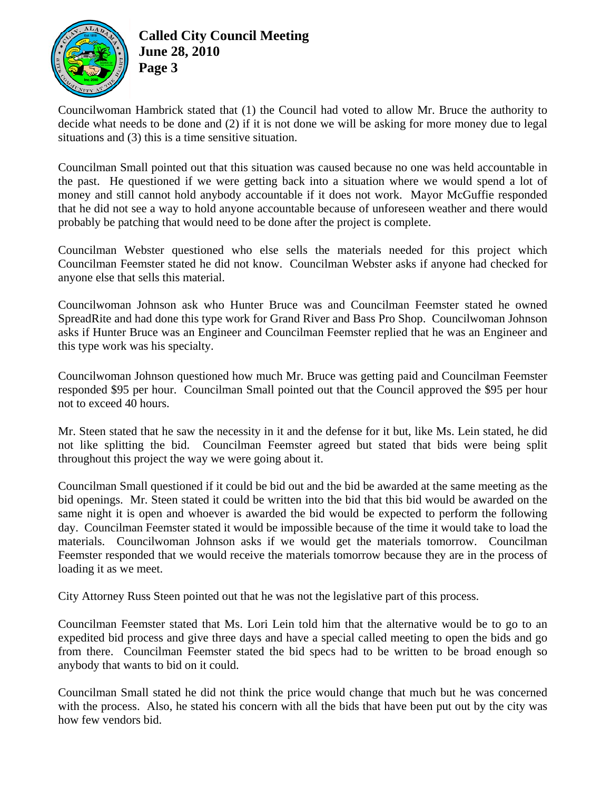

## **Called City Council Meeting June 28, 2010 Page 3**

Councilwoman Hambrick stated that (1) the Council had voted to allow Mr. Bruce the authority to decide what needs to be done and (2) if it is not done we will be asking for more money due to legal situations and (3) this is a time sensitive situation.

Councilman Small pointed out that this situation was caused because no one was held accountable in the past. He questioned if we were getting back into a situation where we would spend a lot of money and still cannot hold anybody accountable if it does not work. Mayor McGuffie responded that he did not see a way to hold anyone accountable because of unforeseen weather and there would probably be patching that would need to be done after the project is complete.

Councilman Webster questioned who else sells the materials needed for this project which Councilman Feemster stated he did not know. Councilman Webster asks if anyone had checked for anyone else that sells this material.

Councilwoman Johnson ask who Hunter Bruce was and Councilman Feemster stated he owned SpreadRite and had done this type work for Grand River and Bass Pro Shop. Councilwoman Johnson asks if Hunter Bruce was an Engineer and Councilman Feemster replied that he was an Engineer and this type work was his specialty.

Councilwoman Johnson questioned how much Mr. Bruce was getting paid and Councilman Feemster responded \$95 per hour. Councilman Small pointed out that the Council approved the \$95 per hour not to exceed 40 hours.

Mr. Steen stated that he saw the necessity in it and the defense for it but, like Ms. Lein stated, he did not like splitting the bid. Councilman Feemster agreed but stated that bids were being split throughout this project the way we were going about it.

Councilman Small questioned if it could be bid out and the bid be awarded at the same meeting as the bid openings. Mr. Steen stated it could be written into the bid that this bid would be awarded on the same night it is open and whoever is awarded the bid would be expected to perform the following day. Councilman Feemster stated it would be impossible because of the time it would take to load the materials. Councilwoman Johnson asks if we would get the materials tomorrow. Councilman Feemster responded that we would receive the materials tomorrow because they are in the process of loading it as we meet.

City Attorney Russ Steen pointed out that he was not the legislative part of this process.

Councilman Feemster stated that Ms. Lori Lein told him that the alternative would be to go to an expedited bid process and give three days and have a special called meeting to open the bids and go from there. Councilman Feemster stated the bid specs had to be written to be broad enough so anybody that wants to bid on it could.

Councilman Small stated he did not think the price would change that much but he was concerned with the process. Also, he stated his concern with all the bids that have been put out by the city was how few vendors bid.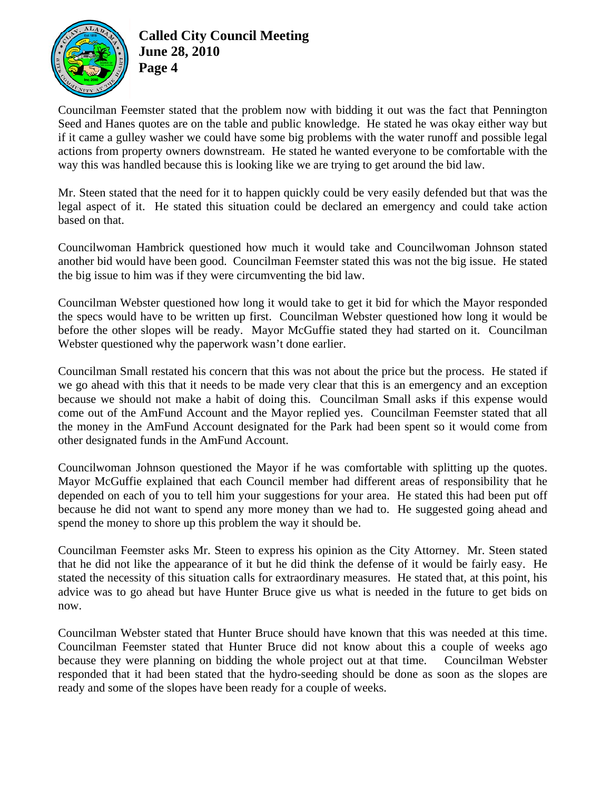

## **Called City Council Meeting June 28, 2010 Page 4**

Councilman Feemster stated that the problem now with bidding it out was the fact that Pennington Seed and Hanes quotes are on the table and public knowledge. He stated he was okay either way but if it came a gulley washer we could have some big problems with the water runoff and possible legal actions from property owners downstream. He stated he wanted everyone to be comfortable with the way this was handled because this is looking like we are trying to get around the bid law.

Mr. Steen stated that the need for it to happen quickly could be very easily defended but that was the legal aspect of it. He stated this situation could be declared an emergency and could take action based on that.

Councilwoman Hambrick questioned how much it would take and Councilwoman Johnson stated another bid would have been good. Councilman Feemster stated this was not the big issue. He stated the big issue to him was if they were circumventing the bid law.

Councilman Webster questioned how long it would take to get it bid for which the Mayor responded the specs would have to be written up first. Councilman Webster questioned how long it would be before the other slopes will be ready. Mayor McGuffie stated they had started on it. Councilman Webster questioned why the paperwork wasn't done earlier.

Councilman Small restated his concern that this was not about the price but the process. He stated if we go ahead with this that it needs to be made very clear that this is an emergency and an exception because we should not make a habit of doing this. Councilman Small asks if this expense would come out of the AmFund Account and the Mayor replied yes. Councilman Feemster stated that all the money in the AmFund Account designated for the Park had been spent so it would come from other designated funds in the AmFund Account.

Councilwoman Johnson questioned the Mayor if he was comfortable with splitting up the quotes. Mayor McGuffie explained that each Council member had different areas of responsibility that he depended on each of you to tell him your suggestions for your area. He stated this had been put off because he did not want to spend any more money than we had to. He suggested going ahead and spend the money to shore up this problem the way it should be.

Councilman Feemster asks Mr. Steen to express his opinion as the City Attorney. Mr. Steen stated that he did not like the appearance of it but he did think the defense of it would be fairly easy. He stated the necessity of this situation calls for extraordinary measures. He stated that, at this point, his advice was to go ahead but have Hunter Bruce give us what is needed in the future to get bids on now.

Councilman Webster stated that Hunter Bruce should have known that this was needed at this time. Councilman Feemster stated that Hunter Bruce did not know about this a couple of weeks ago because they were planning on bidding the whole project out at that time. Councilman Webster responded that it had been stated that the hydro-seeding should be done as soon as the slopes are ready and some of the slopes have been ready for a couple of weeks.